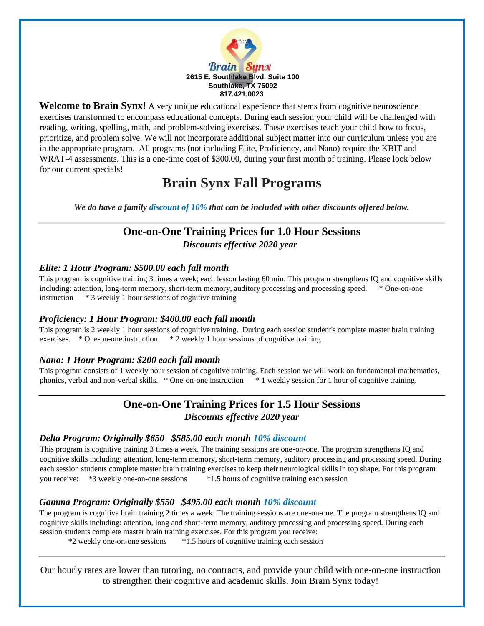

**Welcome to Brain Synx!** A very unique educational experience that stems from cognitive neuroscience exercises transformed to encompass educational concepts. During each session your child will be challenged with reading, writing, spelling, math, and problem-solving exercises. These exercises teach your child how to focus, prioritize, and problem solve. We will not incorporate additional subject matter into our curriculum unless you are in the appropriate program. All programs (not including Elite, Proficiency, and Nano) require the KBIT and WRAT-4 assessments. This is a one-time cost of \$300.00, during your first month of training. Please look below for our current specials!

# **Brain Synx Fall Programs**

*We do have a family discount of 10% that can be included with other discounts offered below.* 

## **One-on-One Training Prices for 1.0 Hour Sessions**  *Discounts effective 2020 year*

### *Elite: 1 Hour Program: \$500.00 each fall month*

This program is cognitive training 3 times a week; each lesson lasting 60 min. This program strengthens IQ and cognitive skills including: attention, long-term memory, short-term memory, auditory processing and processing speed. \* One-on-one instruction \* 3 weekly 1 hour sessions of cognitive training

### *Proficiency: 1 Hour Program: \$400.00 each fall month*

This program is 2 weekly 1 hour sessions of cognitive training. During each session student's complete master brain training exercises. \* One-on-one instruction \* 2 weekly 1 hour sessions of cognitive training

### *Nano: 1 Hour Program: \$200 each fall month*

This program consists of 1 weekly hour session of cognitive training. Each session we will work on fundamental mathematics, phonics, verbal and non-verbal skills. \* One-on-one instruction \* 1 weekly session for 1 hour of cognitive training.

### **One-on-One Training Prices for 1.5 Hour Sessions**  *Discounts effective 2020 year*

### *Delta Program: Originally \$650 \$585.00 each month 10% discount*

This program is cognitive training 3 times a week. The training sessions are one-on-one. The program strengthens IQ and cognitive skills including: attention, long-term memory, short-term memory, auditory processing and processing speed. During each session students complete master brain training exercises to keep their neurological skills in top shape. For this program you receive: \*3 weekly one-on-one sessions \*1.5 hours of cognitive training each session

### *Gamma Program: Originally \$550 \$495.00 each month 10% discount*

The program is cognitive brain training 2 times a week. The training sessions are one-on-one. The program strengthens IQ and cognitive skills including: attention, long and short-term memory, auditory processing and processing speed. During each session students complete master brain training exercises. For this program you receive:

\*2 weekly one-on-one sessions \*1.5 hours of cognitive training each session

Our hourly rates are lower than tutoring, no contracts, and provide your child with one-on-one instruction to strengthen their cognitive and academic skills. Join Brain Synx today!